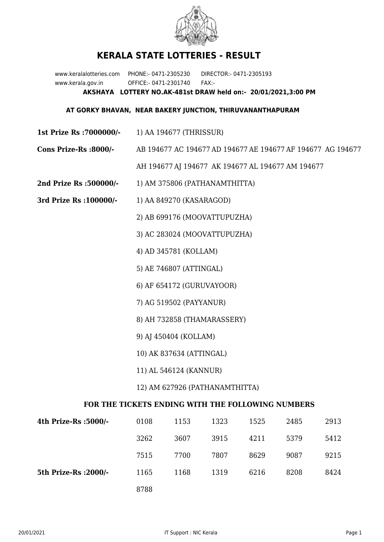

## **KERALA STATE LOTTERIES - RESULT**

www.keralalotteries.com PHONE:- 0471-2305230 DIRECTOR:- 0471-2305193 www.kerala.gov.in OFFICE:- 0471-2301740 FAX:- **AKSHAYA LOTTERY NO.AK-481st DRAW held on:- 20/01/2021,3:00 PM**

## **AT GORKY BHAVAN, NEAR BAKERY JUNCTION, THIRUVANANTHAPURAM**

- **1st Prize Rs :7000000/-** 1) AA 194677 (THRISSUR)
- **Cons Prize-Rs :8000/-** AB 194677 AC 194677 AD 194677 AE 194677 AF 194677 AG 194677 AH 194677 AJ 194677 AK 194677 AL 194677 AM 194677
- **2nd Prize Rs :500000/-** 1) AM 375806 (PATHANAMTHITTA)
- **3rd Prize Rs :100000/-** 1) AA 849270 (KASARAGOD)
	- 2) AB 699176 (MOOVATTUPUZHA)
	- 3) AC 283024 (MOOVATTUPUZHA)
	- 4) AD 345781 (KOLLAM)
	- 5) AE 746807 (ATTINGAL)
	- 6) AF 654172 (GURUVAYOOR)
	- 7) AG 519502 (PAYYANUR)
	- 8) AH 732858 (THAMARASSERY)
	- 9) AJ 450404 (KOLLAM)
	- 10) AK 837634 (ATTINGAL)
	- 11) AL 546124 (KANNUR)
	- 12) AM 627926 (PATHANAMTHITTA)

## **FOR THE TICKETS ENDING WITH THE FOLLOWING NUMBERS**

| 4th Prize-Rs :5000/-  | 0108 | 1153 | 1323 | 1525 | 2485 | 2913 |
|-----------------------|------|------|------|------|------|------|
|                       | 3262 | 3607 | 3915 | 4211 | 5379 | 5412 |
|                       | 7515 | 7700 | 7807 | 8629 | 9087 | 9215 |
| 5th Prize-Rs : 2000/- | 1165 | 1168 | 1319 | 6216 | 8208 | 8424 |
|                       | 8788 |      |      |      |      |      |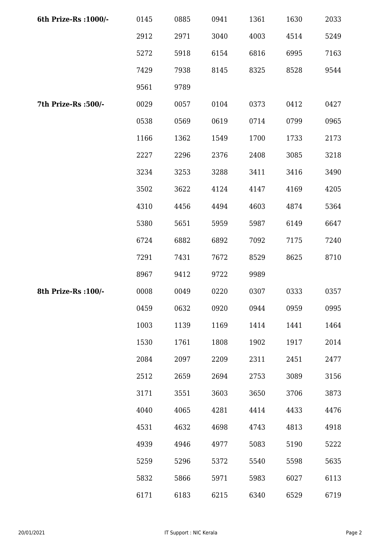| 6th Prize-Rs : 1000/- | 0145 | 0885 | 0941 | 1361 | 1630 | 2033 |
|-----------------------|------|------|------|------|------|------|
|                       | 2912 | 2971 | 3040 | 4003 | 4514 | 5249 |
|                       | 5272 | 5918 | 6154 | 6816 | 6995 | 7163 |
|                       | 7429 | 7938 | 8145 | 8325 | 8528 | 9544 |
|                       | 9561 | 9789 |      |      |      |      |
| 7th Prize-Rs : 500/-  | 0029 | 0057 | 0104 | 0373 | 0412 | 0427 |
|                       | 0538 | 0569 | 0619 | 0714 | 0799 | 0965 |
|                       | 1166 | 1362 | 1549 | 1700 | 1733 | 2173 |
|                       | 2227 | 2296 | 2376 | 2408 | 3085 | 3218 |
|                       | 3234 | 3253 | 3288 | 3411 | 3416 | 3490 |
|                       | 3502 | 3622 | 4124 | 4147 | 4169 | 4205 |
|                       | 4310 | 4456 | 4494 | 4603 | 4874 | 5364 |
|                       | 5380 | 5651 | 5959 | 5987 | 6149 | 6647 |
|                       | 6724 | 6882 | 6892 | 7092 | 7175 | 7240 |
|                       | 7291 | 7431 | 7672 | 8529 | 8625 | 8710 |
|                       | 8967 | 9412 | 9722 | 9989 |      |      |
| 8th Prize-Rs : 100/-  | 0008 | 0049 | 0220 | 0307 | 0333 | 0357 |
|                       | 0459 | 0632 | 0920 | 0944 | 0959 | 0995 |
|                       | 1003 | 1139 | 1169 | 1414 | 1441 | 1464 |
|                       | 1530 | 1761 | 1808 | 1902 | 1917 | 2014 |
|                       | 2084 | 2097 | 2209 | 2311 | 2451 | 2477 |
|                       | 2512 | 2659 | 2694 | 2753 | 3089 | 3156 |
|                       | 3171 | 3551 | 3603 | 3650 | 3706 | 3873 |
|                       | 4040 | 4065 | 4281 | 4414 | 4433 | 4476 |
|                       | 4531 | 4632 | 4698 | 4743 | 4813 | 4918 |
|                       | 4939 | 4946 | 4977 | 5083 | 5190 | 5222 |
|                       | 5259 | 5296 | 5372 | 5540 | 5598 | 5635 |
|                       | 5832 | 5866 | 5971 | 5983 | 6027 | 6113 |
|                       | 6171 | 6183 | 6215 | 6340 | 6529 | 6719 |